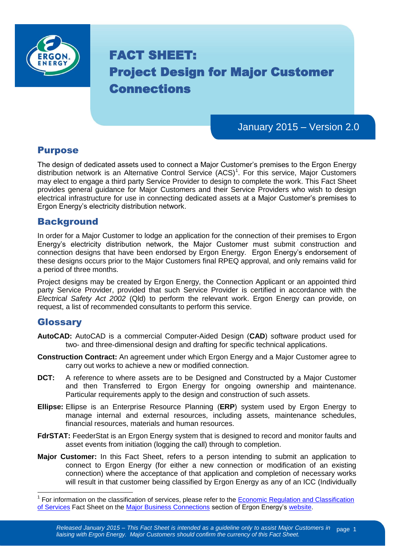

# FACT SHEET: Project Design for Major Customer Connections

## January 2015 – Version 2.0

#### Purpose

The design of dedicated assets used to connect a Major Customer's premises to the Ergon Energy distribution network is an Alternative Control Service (ACS)<sup>1</sup>. For this service, Major Customers may elect to engage a third party Service Provider to design to complete the work. This Fact Sheet provides general guidance for Major Customers and their Service Providers who wish to design electrical infrastructure for use in connecting dedicated assets at a Major Customer's premises to Ergon Energy's electricity distribution network.

#### **Background**

In order for a Major Customer to lodge an application for the connection of their premises to Ergon Energy's electricity distribution network, the Major Customer must submit construction and connection designs that have been endorsed by Ergon Energy. Ergon Energy's endorsement of these designs occurs prior to the Major Customers final RPEQ approval, and only remains valid for a period of three months.

Project designs may be created by Ergon Energy, the Connection Applicant or an appointed third party Service Provider, provided that such Service Provider is certified in accordance with the *Electrical Safety Act 2002* (Qld) to perform the relevant work. Ergon Energy can provide, on request, a list of recommended consultants to perform this service.

# **Glossary**

-

- **AutoCAD:** AutoCAD is a commercial Computer-Aided Design (**CAD**) software product used for two- and three-dimensional design and drafting for specific technical applications.
- **Construction Contract:** An agreement under which Ergon Energy and a Major Customer agree to carry out works to achieve a new or modified connection.
- **DCT:** A reference to where assets are to be Designed and Constructed by a Major Customer and then Transferred to Ergon Energy for ongoing ownership and maintenance. Particular requirements apply to the design and construction of such assets.
- **Ellipse:** Ellipse is an Enterprise Resource Planning (**ERP**) system used by Ergon Energy to manage internal and external resources, including assets, maintenance schedules, financial resources, materials and human resources.
- **FdrSTAT:** FeederStat is an Ergon Energy system that is designed to record and monitor faults and asset events from initiation (logging the call) through to completion.
- **Major Customer:** In this Fact Sheet, refers to a person intending to submit an application to connect to Ergon Energy (for either a new connection or modification of an existing connection) where the acceptance of that application and completion of necessary works will result in that customer being classified by Ergon Energy as any of an ICC (Individually

<sup>&</sup>lt;sup>1</sup> For information on the classification of services, please refer to the Economic Regulation and Classification [of Services](https://www.ergon.com.au/__data/assets/pdf_file/0006/191994/Fact-Sheet-Economic-Regulation-and-Classification-of-Services.pdf) Fact Sheet on the [Major Business Connections](https://www.ergon.com.au/network/connections/major-business-connections) section of Ergon Energy's [website.](http://www.ergon.com.au/)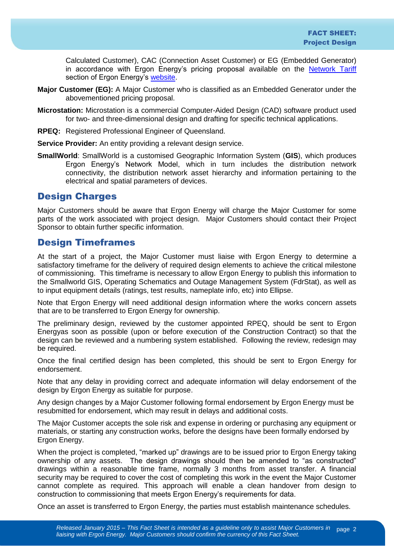Calculated Customer), CAC (Connection Asset Customer) or EG (Embedded Generator) in accordance with Ergon Energy's pricing proposal available on the [Network Tariff](https://www.ergon.com.au/network/network-management/network-pricing) section of Ergon Energy's [website.](http://www.ergon.com.au/)

- **Major Customer (EG):** A Major Customer who is classified as an Embedded Generator under the abovementioned pricing proposal.
- **Microstation:** Microstation is a commercial Computer-Aided Design (CAD) software product used for two- and three-dimensional design and drafting for specific technical applications.
- **RPEQ:** Registered Professional Engineer of Queensland.
- **Service Provider:** An entity providing a relevant design service.
- **SmallWorld**: SmallWorld is a customised Geographic Information System (**GIS**), which produces Ergon Energy's Network Model, which in turn includes the distribution network connectivity, the distribution network asset hierarchy and information pertaining to the electrical and spatial parameters of devices.

#### Design Charges

Major Customers should be aware that Ergon Energy will charge the Major Customer for some parts of the work associated with project design. Major Customers should contact their Project Sponsor to obtain further specific information.

#### Design Timeframes

At the start of a project, the Major Customer must liaise with Ergon Energy to determine a satisfactory timeframe for the delivery of required design elements to achieve the critical milestone of commissioning. This timeframe is necessary to allow Ergon Energy to publish this information to the Smallworld GIS, Operating Schematics and Outage Management System (FdrStat), as well as to input equipment details (ratings, test results, nameplate info, etc) into Ellipse.

Note that Ergon Energy will need additional design information where the works concern assets that are to be transferred to Ergon Energy for ownership.

The preliminary design, reviewed by the customer appointed RPEQ, should be sent to Ergon Energyas soon as possible (upon or before execution of the Construction Contract) so that the design can be reviewed and a numbering system established. Following the review, redesign may be required.

Once the final certified design has been completed, this should be sent to Ergon Energy for endorsement.

Note that any delay in providing correct and adequate information will delay endorsement of the design by Ergon Energy as suitable for purpose.

Any design changes by a Major Customer following formal endorsement by Ergon Energy must be resubmitted for endorsement, which may result in delays and additional costs.

The Major Customer accepts the sole risk and expense in ordering or purchasing any equipment or materials, or starting any construction works, before the designs have been formally endorsed by Ergon Energy.

When the project is completed, "marked up" drawings are to be issued prior to Ergon Energy taking ownership of any assets. The design drawings should then be amended to "as constructed" drawings within a reasonable time frame, normally 3 months from asset transfer. A financial security may be required to cover the cost of completing this work in the event the Major Customer cannot complete as required. This approach will enable a clean handover from design to construction to commissioning that meets Ergon Energy's requirements for data.

Once an asset is transferred to Ergon Energy, the parties must establish maintenance schedules.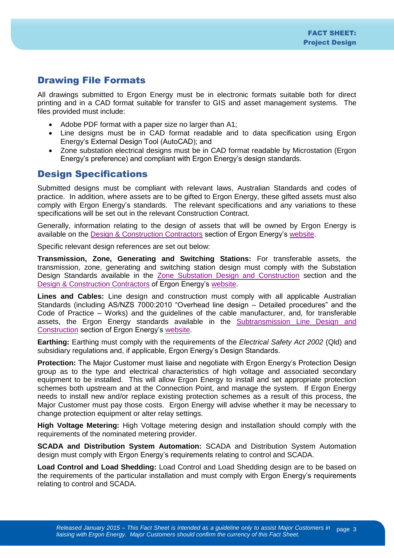## Drawing File Formats

All drawings submitted to Ergon Energy must be in electronic formats suitable both for direct printing and in a CAD format suitable for transfer to GIS and asset management systems. The files provided must include:

- Adobe PDF format with a paper size no larger than A1:
- Line designs must be in CAD format readable and to data specification using Ergon Energy's External Design Tool (AutoCAD); and
- Zone substation electrical designs must be in CAD format readable by Microstation (Ergon Energy's preference) and compliant with Ergon Energy's design standards.

## Design Specifications

Submitted designs must be compliant with relevant laws, Australian Standards and codes of practice. In addition, where assets are to be gifted to Ergon Energy, these gifted assets must also comply with Ergon Energy's standards. The relevant specifications and any variations to these specifications will be set out in the relevant Construction Contract.

Generally, information relating to the design of assets that will be owned by Ergon Energy is available on the [Design & Construction Contractors](https://www.ergon.com.au/network/contractors-and-industry/design-and-construction-contractors) section of Ergon Energy's [website.](http://www.ergon.com.au/)

Specific relevant design references are set out below:

**Transmission, Zone, Generating and Switching Stations:** For transferable assets, the transmission, zone, generating and switching station design must comply with the Substation Design Standards available in the [Zone Substation Design and Construction](https://www.ergon.com.au/network/contractors-and-industry/design-and-construction-contractors/zone-substation-design-and-construction) section and the [Design & Construction Contractors](https://www.ergon.com.au/network/contractors-and-industry/design-and-construction-contractors) of Ergon Energy's [website.](http://www.ergon.com.au/)

**Lines and Cables:** Line design and construction must comply with all applicable Australian Standards (including AS/NZS 7000:2010 "Overhead line design – Detailed procedures" and the Code of Practice – Works) and the guidelines of the cable manufacturer, and, for transferable assets, the Ergon Energy standards available in the [Subtransmission Line Design and](https://www.ergon.com.au/network/contractors-and-industry/design-and-construction-contractors/subtransmission-line-design-and-construction)  [Construction](https://www.ergon.com.au/network/contractors-and-industry/design-and-construction-contractors/subtransmission-line-design-and-construction) section of Ergon Energy's [website.](http://www.ergon.com.au/)

**Earthing:** Earthing must comply with the requirements of the *Electrical Safety Act 2002* (Qld) and subsidiary regulations and, if applicable, Ergon Energy's Design Standards.

**Protection:** The Major Customer must liaise and negotiate with Ergon Energy's Protection Design group as to the type and electrical characteristics of high voltage and associated secondary equipment to be installed. This will allow Ergon Energy to install and set appropriate protection schemes both upstream and at the Connection Point, and manage the system. If Ergon Energy needs to install new and/or replace existing protection schemes as a result of this process, the Major Customer must pay those costs. Ergon Energy will advise whether it may be necessary to change protection equipment or alter relay settings.

**High Voltage Metering:** High Voltage metering design and installation should comply with the requirements of the nominated metering provider.

**SCADA and Distribution System Automation:** SCADA and Distribution System Automation design must comply with Ergon Energy's requirements relating to control and SCADA.

**Load Control and Load Shedding:** Load Control and Load Shedding design are to be based on the requirements of the particular installation and must comply with Ergon Energy's requirements relating to control and SCADA.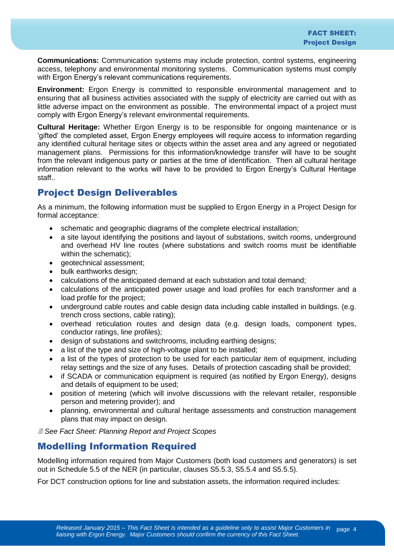**Communications:** Communication systems may include protection, control systems, engineering access, telephony and environmental monitoring systems. Communication systems must comply with Ergon Energy's relevant communications requirements.

**Environment:** Ergon Energy is committed to responsible environmental management and to ensuring that all business activities associated with the supply of electricity are carried out with as little adverse impact on the environment as possible. The environmental impact of a project must comply with Ergon Energy's relevant environmental requirements.

**Cultural Heritage:** Whether Ergon Energy is to be responsible for ongoing maintenance or is 'gifted' the completed asset, Ergon Energy employees will require access to information regarding any identified cultural heritage sites or objects within the asset area and any agreed or negotiated management plans. Permissions for this information/knowledge transfer will have to be sought from the relevant indigenous party or parties at the time of identification. Then all cultural heritage information relevant to the works will have to be provided to Ergon Energy's Cultural Heritage staff..

# Project Design Deliverables

As a minimum, the following information must be supplied to Ergon Energy in a Project Design for formal acceptance:

- schematic and geographic diagrams of the complete electrical installation;
- a site layout identifying the positions and layout of substations, switch rooms, underground and overhead HV line routes (where substations and switch rooms must be identifiable within the schematic);
- **e** geotechnical assessment;
- bulk earthworks design;
- calculations of the anticipated demand at each substation and total demand;
- calculations of the anticipated power usage and load profiles for each transformer and a load profile for the project;
- underground cable routes and cable design data including cable installed in buildings. (e.g. trench cross sections, cable rating);
- overhead reticulation routes and design data (e.g. design loads, component types, conductor ratings, line profiles);
- design of substations and switchrooms, including earthing designs;
- a list of the type and size of high-voltage plant to be installed;
- a list of the types of protection to be used for each particular item of equipment, including relay settings and the size of any fuses. Details of protection cascading shall be provided;
- if SCADA or communication equipment is required (as notified by Ergon Energy), designs and details of equipment to be used;
- position of metering (which will involve discussions with the relevant retailer, responsible person and metering provider); and
- planning, environmental and cultural heritage assessments and construction management plans that may impact on design.

*See Fact Sheet: Planning Report and Project Scopes*

# Modelling Information Required

Modelling information required from Major Customers (both load customers and generators) is set out in Schedule 5.5 of the NER (in particular, clauses S5.5.3, S5.5.4 and S5.5.5).

For DCT construction options for line and substation assets, the information required includes: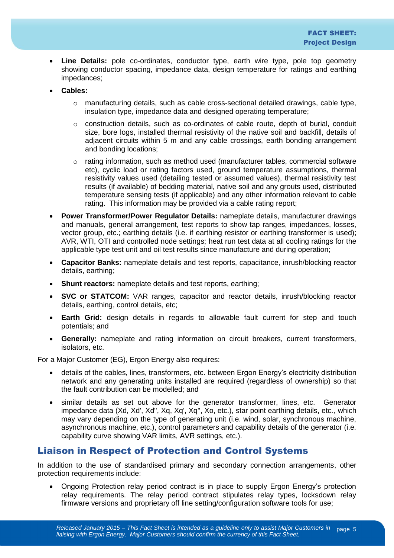- **Line Details:** pole co-ordinates, conductor type, earth wire type, pole top geometry showing conductor spacing, impedance data, design temperature for ratings and earthing impedances;
- **Cables:**
	- $\circ$  manufacturing details, such as cable cross-sectional detailed drawings, cable type, insulation type, impedance data and designed operating temperature;
	- o construction details, such as co-ordinates of cable route, depth of burial, conduit size, bore logs, installed thermal resistivity of the native soil and backfill, details of adjacent circuits within 5 m and any cable crossings, earth bonding arrangement and bonding locations;
	- $\circ$  rating information, such as method used (manufacturer tables, commercial software etc), cyclic load or rating factors used, ground temperature assumptions, thermal resistivity values used (detailing tested or assumed values), thermal resistivity test results (if available) of bedding material, native soil and any grouts used, distributed temperature sensing tests (if applicable) and any other information relevant to cable rating. This information may be provided via a cable rating report;
- **Power Transformer/Power Regulator Details:** nameplate details, manufacturer drawings and manuals, general arrangement, test reports to show tap ranges, impedances, losses, vector group, etc.; earthing details (i.e. if earthing resistor or earthing transformer is used); AVR, WTI, OTI and controlled node settings; heat run test data at all cooling ratings for the applicable type test unit and oil test results since manufacture and during operation;
- **Capacitor Banks:** nameplate details and test reports, capacitance, inrush/blocking reactor details, earthing;
- **Shunt reactors:** nameplate details and test reports, earthing;
- **SVC or STATCOM:** VAR ranges, capacitor and reactor details, inrush/blocking reactor details, earthing, control details, etc;
- **Earth Grid:** design details in regards to allowable fault current for step and touch potentials; and
- **Generally:** nameplate and rating information on circuit breakers, current transformers, isolators, etc.

For a Major Customer (EG), Ergon Energy also requires:

- details of the cables, lines, transformers, etc. between Ergon Energy's electricity distribution network and any generating units installed are required (regardless of ownership) so that the fault contribution can be modelled; and
- similar details as set out above for the generator transformer, lines, etc. Generator impedance data (Xd, Xd', Xd'', Xq, Xq', Xq'', Xo, etc.), star point earthing details, etc., which may vary depending on the type of generating unit (i.e. wind, solar, synchronous machine, asynchronous machine, etc.), control parameters and capability details of the generator (i.e. capability curve showing VAR limits, AVR settings, etc.).

#### Liaison in Respect of Protection and Control Systems

In addition to the use of standardised primary and secondary connection arrangements, other protection requirements include:

• Ongoing Protection relay period contract is in place to supply Ergon Energy's protection relay requirements. The relay period contract stipulates relay types, locksdown relay firmware versions and proprietary off line setting/configuration software tools for use;